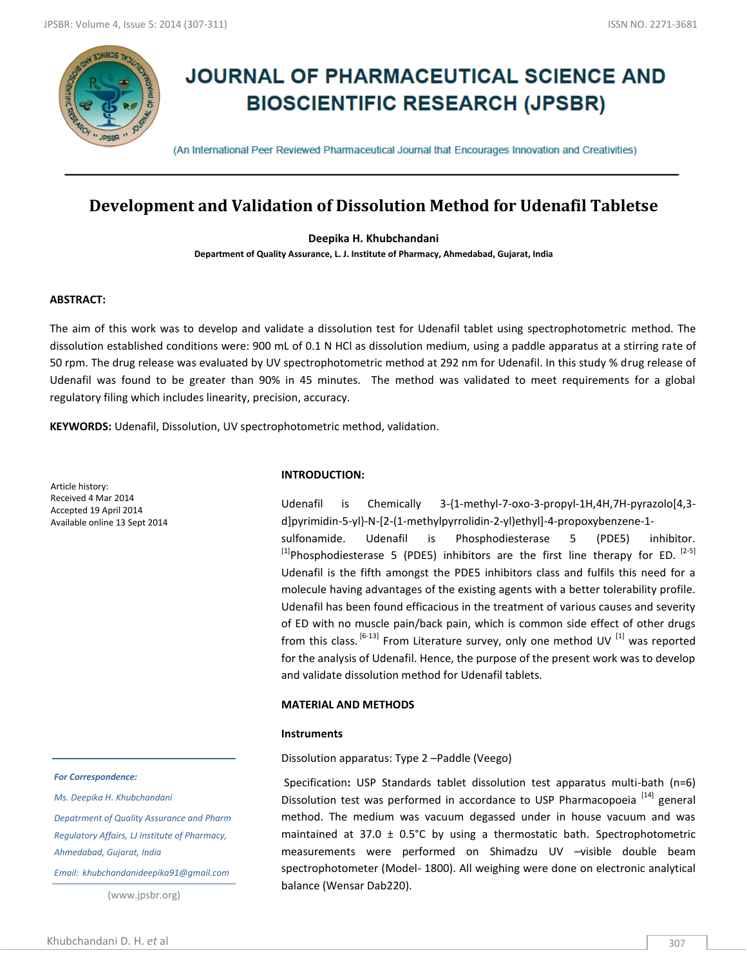

# **JOURNAL OF PHARMACEUTICAL SCIENCE AND BIOSCIENTIFIC RESEARCH (JPSBR)**

(An International Peer Reviewed Pharmaceutical Journal that Encourages Innovation and Creativities)

# **Development and Validation of Dissolution Method for Udenafil Tabletse**

**Deepika H. Khubchandani**

**Department of Quality Assurance, L. J. Institute of Pharmacy, Ahmedabad, Gujarat, India**

# **ABSTRACT:**

The aim of this work was to develop and validate a dissolution test for Udenafil tablet using spectrophotometric method. The dissolution established conditions were: 900 mL of 0.1 N HCl as dissolution medium, using a paddle apparatus at a stirring rate of 50 rpm. The drug release was evaluated by UV spectrophotometric method at 292 nm for Udenafil. In this study % drug release of Udenafil was found to be greater than 90% in 45 minutes. The method was validated to meet requirements for a global regulatory filing which includes linearity, precision, accuracy.

**KEYWORDS:** Udenafil, Dissolution, UV spectrophotometric method, validation.

Article history: Received 4 Mar 2014 Accepted 19 April 2014 Available online 13 Sept 2014

#### *For Correspondence:*

*Ms. Deepika H. Khubchandani*

*Depatrment of Quality Assurance and Pharm Regulatory Affairs, LJ Institute of Pharmacy, Ahmedabad, Gujarat, India*

*Email: khubchandanideepika91@gmail.com*

(www.jpsbr.org)

#### **INTRODUCTION:**

Udenafil is Chemically 3-{1-methyl-7-oxo-3-propyl-1H,4H,7H-pyrazolo[4,3 d]pyrimidin-5-yl}-N-[2-(1-methylpyrrolidin-2-yl)ethyl]-4-propoxybenzene-1 sulfonamide. Udenafil is Phosphodiesterase 5 (PDE5) inhibitor.  $^{[1]}$ Phosphodiesterase 5 (PDE5) inhibitors are the first line therapy for ED.  $^{[2-5]}$ Udenafil is the fifth amongst the PDE5 inhibitors class and fulfils this need for a molecule having advantages of the existing agents with a better tolerability profile. Udenafil has been found efficacious in the treatment of various causes and severity of ED with no muscle pain/back pain, which is common side effect of other drugs from this class.  $[6-13]$  From Literature survey, only one method UV  $[1]$  was reported for the analysis of Udenafil. Hence, the purpose of the present work was to develop and validate dissolution method for Udenafil tablets.

# **MATERIAL AND METHODS**

# **Instruments**

Dissolution apparatus: Type 2 –Paddle (Veego)

Specification**:** USP Standards tablet dissolution test apparatus multi-bath (n=6) Dissolution test was performed in accordance to USP Pharmacopoeia<sup>[14]</sup> general method. The medium was vacuum degassed under in house vacuum and was maintained at 37.0  $\pm$  0.5°C by using a thermostatic bath. Spectrophotometric measurements were performed on Shimadzu UV –visible double beam spectrophotometer (Model- 1800). All weighing were done on electronic analytical balance (Wensar Dab220).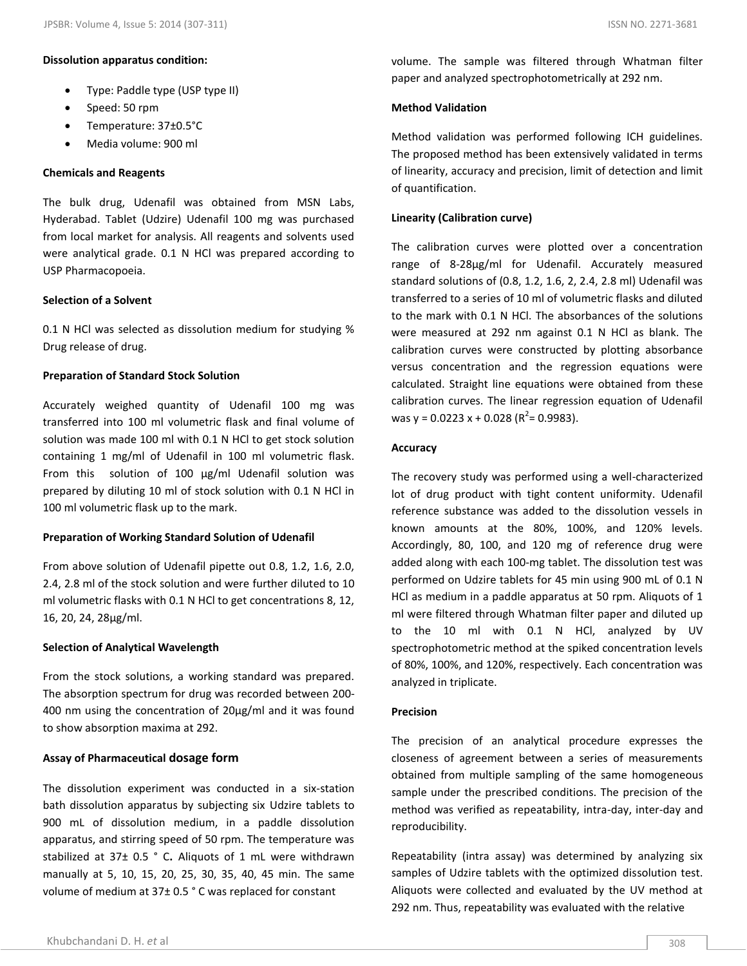#### **Dissolution apparatus condition:**

- Type: Paddle type (USP type II)
- Speed: 50 rpm
- Temperature: 37±0.5°C
- Media volume: 900 ml

# **Chemicals and Reagents**

The bulk drug, Udenafil was obtained from MSN Labs, Hyderabad. Tablet (Udzire) Udenafil 100 mg was purchased from local market for analysis. All reagents and solvents used were analytical grade. 0.1 N HCl was prepared according to USP Pharmacopoeia.

# **Selection of a Solvent**

0.1 N HCl was selected as dissolution medium for studying % Drug release of drug.

# **Preparation of Standard Stock Solution**

Accurately weighed quantity of Udenafil 100 mg was transferred into 100 ml volumetric flask and final volume of solution was made 100 ml with 0.1 N HCl to get stock solution containing 1 mg/ml of Udenafil in 100 ml volumetric flask. From this solution of 100 μg/ml Udenafil solution was prepared by diluting 10 ml of stock solution with 0.1 N HCl in 100 ml volumetric flask up to the mark.

# **Preparation of Working Standard Solution of Udenafil**

From above solution of Udenafil pipette out 0.8, 1.2, 1.6, 2.0, 2.4, 2.8 ml of the stock solution and were further diluted to 10 ml volumetric flasks with 0.1 N HCl to get concentrations 8, 12, 16, 20, 24, 28μg/ml.

# **Selection of Analytical Wavelength**

From the stock solutions, a working standard was prepared. The absorption spectrum for drug was recorded between 200- 400 nm using the concentration of 20μg/ml and it was found to show absorption maxima at 292.

# **Assay of Pharmaceutical dosage form**

The dissolution experiment was conducted in a six-station bath dissolution apparatus by subjecting six Udzire tablets to 900 mL of dissolution medium, in a paddle dissolution apparatus, and stirring speed of 50 rpm. The temperature was stabilized at 37± 0.5 ° C**.** Aliquots of 1 mL were withdrawn manually at 5, 10, 15, 20, 25, 30, 35, 40, 45 min. The same volume of medium at 37± 0.5 ° C was replaced for constant

# **Method Validation**

Method validation was performed following ICH guidelines. The proposed method has been extensively validated in terms of linearity, accuracy and precision, limit of detection and limit of quantification.

# **Linearity (Calibration curve)**

The calibration curves were plotted over a concentration range of 8-28μg/ml for Udenafil. Accurately measured standard solutions of (0.8, 1.2, 1.6, 2, 2.4, 2.8 ml) Udenafil was transferred to a series of 10 ml of volumetric flasks and diluted to the mark with 0.1 N HCl. The absorbances of the solutions were measured at 292 nm against 0.1 N HCl as blank. The calibration curves were constructed by plotting absorbance versus concentration and the regression equations were calculated. Straight line equations were obtained from these calibration curves. The linear regression equation of Udenafil was y = 0.0223 x + 0.028 ( $R^2$ = 0.9983).

# **Accuracy**

The recovery study was performed using a well-characterized lot of drug product with tight content uniformity. Udenafil reference substance was added to the dissolution vessels in known amounts at the 80%, 100%, and 120% levels. Accordingly, 80, 100, and 120 mg of reference drug were added along with each 100-mg tablet. The dissolution test was performed on Udzire tablets for 45 min using 900 mL of 0.1 N HCl as medium in a paddle apparatus at 50 rpm. Aliquots of 1 ml were filtered through Whatman filter paper and diluted up to the 10 ml with 0.1 N HCl, analyzed by UV spectrophotometric method at the spiked concentration levels of 80%, 100%, and 120%, respectively. Each concentration was analyzed in triplicate.

# **Precision**

The precision of an analytical procedure expresses the closeness of agreement between a series of measurements obtained from multiple sampling of the same homogeneous sample under the prescribed conditions. The precision of the method was verified as repeatability, intra-day, inter-day and reproducibility.

Repeatability (intra assay) was determined by analyzing six samples of Udzire tablets with the optimized dissolution test. Aliquots were collected and evaluated by the UV method at 292 nm. Thus, repeatability was evaluated with the relative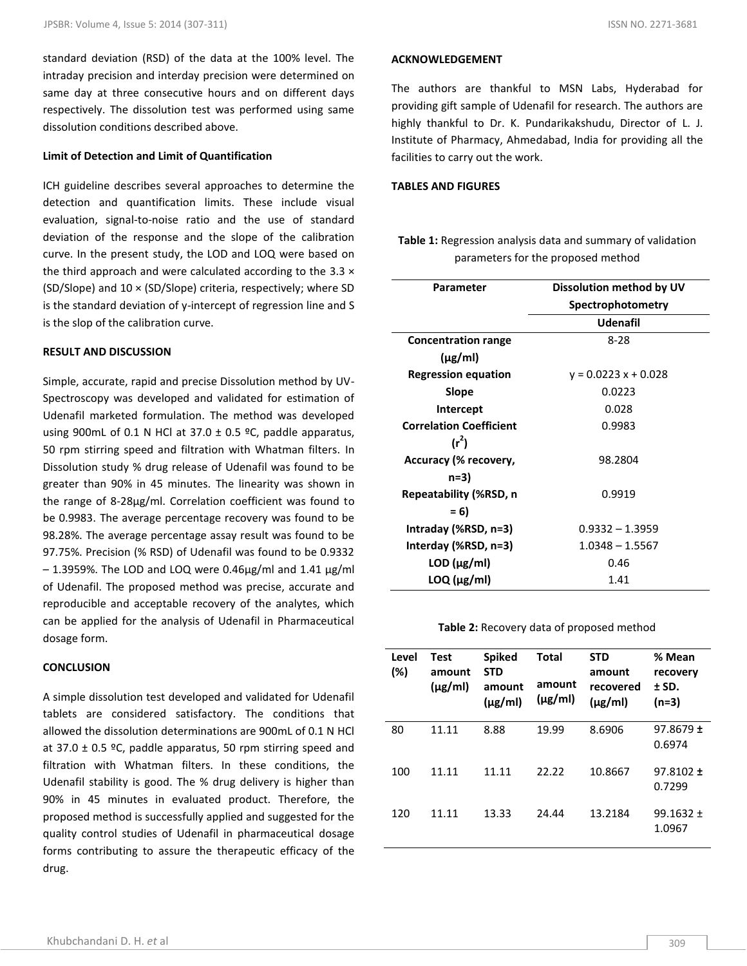standard deviation (RSD) of the data at the 100% level. The intraday precision and interday precision were determined on same day at three consecutive hours and on different days respectively. The dissolution test was performed using same dissolution conditions described above.

# **Limit of Detection and Limit of Quantification**

ICH guideline describes several approaches to determine the detection and quantification limits. These include visual evaluation, signal-to-noise ratio and the use of standard deviation of the response and the slope of the calibration curve. In the present study, the LOD and LOQ were based on the third approach and were calculated according to the  $3.3 \times$ (SD/Slope) and 10 × (SD/Slope) criteria, respectively; where SD is the standard deviation of y-intercept of regression line and S is the slop of the calibration curve.

# **RESULT AND DISCUSSION**

Simple, accurate, rapid and precise Dissolution method by UV-Spectroscopy was developed and validated for estimation of Udenafil marketed formulation. The method was developed using 900mL of 0.1 N HCl at 37.0  $\pm$  0.5 °C, paddle apparatus, 50 rpm stirring speed and filtration with Whatman filters. In Dissolution study % drug release of Udenafil was found to be greater than 90% in 45 minutes. The linearity was shown in the range of 8-28μg/ml. Correlation coefficient was found to be 0.9983. The average percentage recovery was found to be 98.28%. The average percentage assay result was found to be 97.75%. Precision (% RSD) of Udenafil was found to be 0.9332  $-$  1.3959%. The LOD and LOQ were 0.46 $\mu$ g/ml and 1.41  $\mu$ g/ml of Udenafil. The proposed method was precise, accurate and reproducible and acceptable recovery of the analytes, which can be applied for the analysis of Udenafil in Pharmaceutical dosage form.

#### **CONCLUSION**

A simple dissolution test developed and validated for Udenafil tablets are considered satisfactory. The conditions that allowed the dissolution determinations are 900mL of 0.1 N HCl at 37.0  $\pm$  0.5 °C, paddle apparatus, 50 rpm stirring speed and filtration with Whatman filters. In these conditions, the Udenafil stability is good. The % drug delivery is higher than 90% in 45 minutes in evaluated product. Therefore, the proposed method is successfully applied and suggested for the quality control studies of Udenafil in pharmaceutical dosage forms contributing to assure the therapeutic efficacy of the drug.

# **ACKNOWLEDGEMENT**

The authors are thankful to MSN Labs, Hyderabad for providing gift sample of Udenafil for research. The authors are highly thankful to Dr. K. Pundarikakshudu, Director of L. J. Institute of Pharmacy, Ahmedabad, India for providing all the facilities to carry out the work.

#### **TABLES AND FIGURES**

**Table 1:** Regression analysis data and summary of validation parameters for the proposed method

| Parameter                      | Dissolution method by UV |  |  |
|--------------------------------|--------------------------|--|--|
|                                | Spectrophotometry        |  |  |
|                                | Udenafil                 |  |  |
| <b>Concentration range</b>     | $8-28$                   |  |  |
| $(\mu$ g/ml)                   |                          |  |  |
| <b>Regression equation</b>     | $y = 0.0223x + 0.028$    |  |  |
| Slope                          | 0.0223                   |  |  |
| <b>Intercept</b>               | 0.028                    |  |  |
| <b>Correlation Coefficient</b> | 0.9983                   |  |  |
| $(r^2)$                        |                          |  |  |
| Accuracy (% recovery,          | 98.2804                  |  |  |
| n=3)                           |                          |  |  |
| Repeatability (%RSD, n         | 0.9919                   |  |  |
| $= 6$                          |                          |  |  |
| Intraday (%RSD, n=3)           | $0.9332 - 1.3959$        |  |  |
| Interday (%RSD, n=3)           | $1.0348 - 1.5567$        |  |  |
| $LOD$ ( $\mu$ g/ml)            | 0.46                     |  |  |
| $LOQ$ ( $\mu$ g/ml)            | 1.41                     |  |  |

# **Table 2:** Recovery data of proposed method

| Level<br>(%) | Test<br>amount<br>$(\mu$ g/ml) | <b>Spiked</b><br><b>STD</b><br>amount<br>$(\mu g/ml)$ | Total<br>amount<br>$(\mu g/ml)$ | <b>STD</b><br>amount<br>recovered<br>$(\mu$ g/ml) | % Mean<br>recovery<br>± SD.<br>(n=3) |
|--------------|--------------------------------|-------------------------------------------------------|---------------------------------|---------------------------------------------------|--------------------------------------|
| 80           | 11.11                          | 8.88                                                  | 19.99                           | 8.6906                                            | $97.8679 \pm$<br>0.6974              |
| 100          | 11.11                          | 11.11                                                 | 22.22                           | 10.8667                                           | $97.8102 \pm$<br>0.7299              |
| 120          | 11.11                          | 13.33                                                 | 24.44                           | 13.2184                                           | $99.1632 \pm$<br>1.0967              |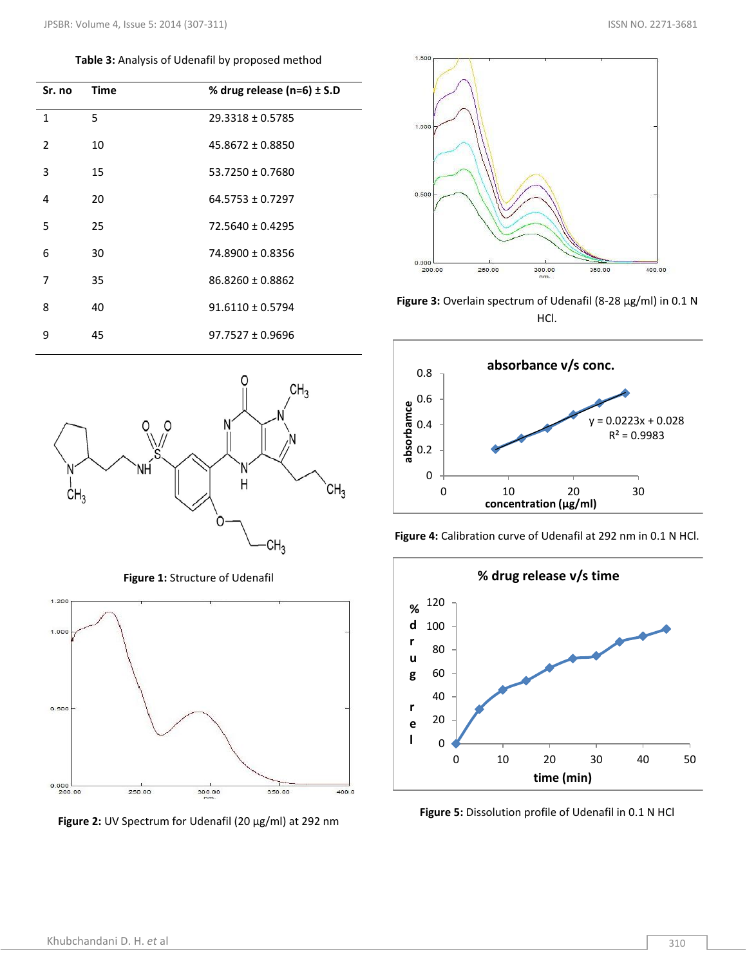**Table 3:** Analysis of Udenafil by proposed method

| Sr. no         | <b>Time</b> | % drug release ( $n=6$ ) ± S.D |
|----------------|-------------|--------------------------------|
| $\mathbf{1}$   | 5           | $29.3318 \pm 0.5785$           |
| $\overline{2}$ | 10          | $45.8672 \pm 0.8850$           |
| 3              | 15          | $53.7250 \pm 0.7680$           |
| 4              | 20          | $64.5753 \pm 0.7297$           |
| 5              | 25          | 72.5640 ± 0.4295               |
| 6              | 30          | 74.8900 ± 0.8356               |
| 7              | 35          | 86.8260 ± 0.8862               |
| 8              | 40          | $91.6110 \pm 0.5794$           |
| 9              | 45          | $97.7527 \pm 0.9696$           |



**Figure 1:** Structure of Udenafil







**Figure 3:** Overlain spectrum of Udenafil (8-28 μg/ml) in 0.1 N HCl.







**Figure 5:** Dissolution profile of Udenafil in 0.1 N HCl